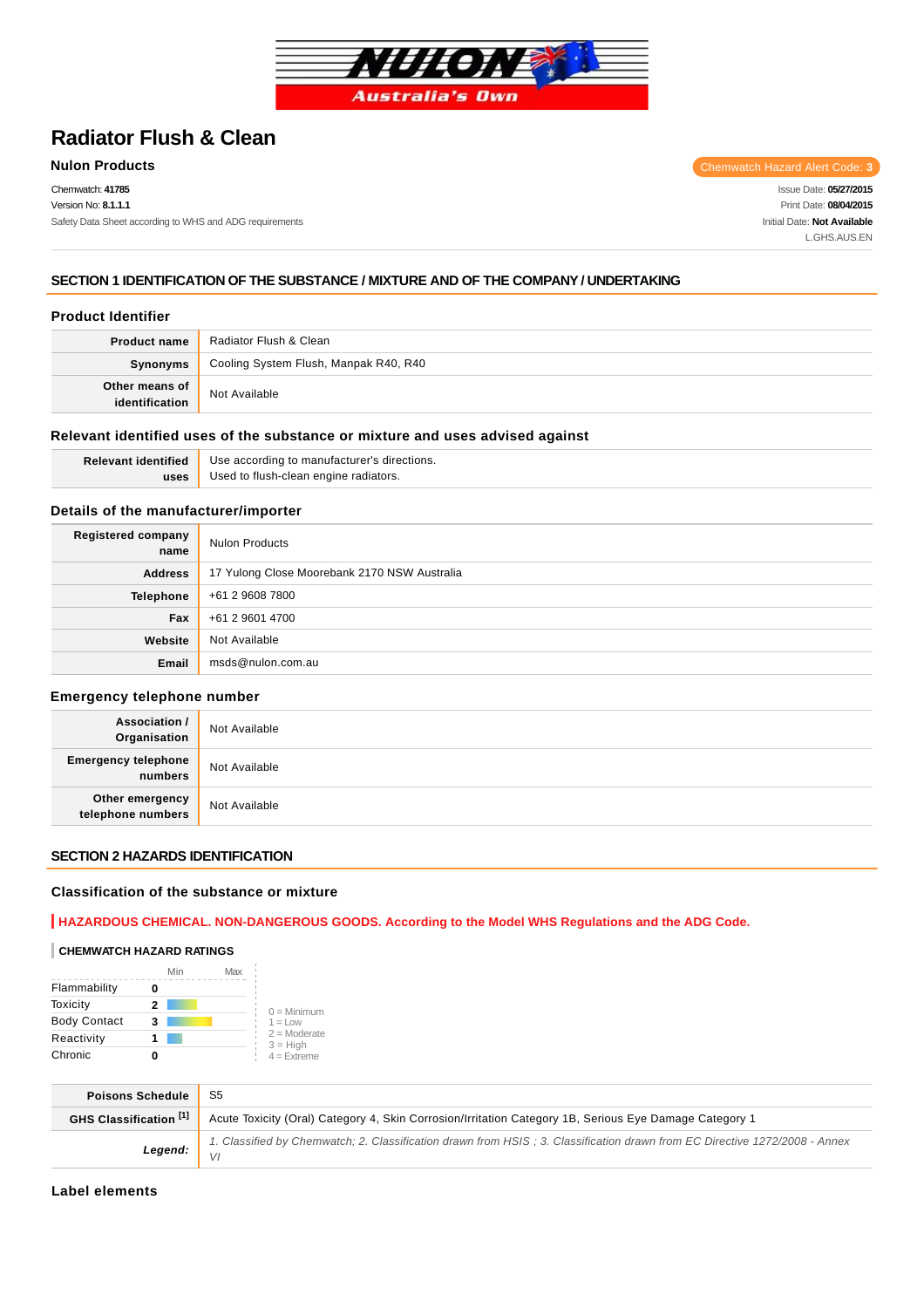

# **Radiator Flush & Clean**

Chemwatch: **41785** Version No: **8.1.1.1** Safety Data Sheet according to WHS and ADG requirements

**Nulon Products** Chemwatch Hazard Alert Code: 3

Issue Date: **05/27/2015** Print Date: **08/04/2015** Initial Date: **Not Available** L.GHS.AUS.EN

### **SECTION 1 IDENTIFICATION OF THE SUBSTANCE / MIXTURE AND OF THE COMPANY / UNDERTAKING**

### **Product Identifier**

| <b>Product name</b>              | Radiator Flush & Clean                |
|----------------------------------|---------------------------------------|
| Synonyms                         | Cooling System Flush, Manpak R40, R40 |
| Other means of<br>identification | Not Available                         |

### **Relevant identified uses of the substance or mixture and uses advised against**

**Relevant identified uses** Use according to manufacturer's directions. Used to flush-clean engine radiators.

### **Details of the manufacturer/importer**

| Registered company<br>name | <b>Nulon Products</b>                        |
|----------------------------|----------------------------------------------|
| <b>Address</b>             | 17 Yulong Close Moorebank 2170 NSW Australia |
| <b>Telephone</b>           | +61 2 9608 7800                              |
| Fax                        | +61 2 9601 4700                              |
| Website                    | Not Available                                |
| Email                      | msds@nulon.com.au                            |

#### **Emergency telephone number**

| <b>Association /</b><br>Organisation    | Not Available |
|-----------------------------------------|---------------|
| <b>Emergency telephone</b><br>  numbers | Not Available |
| Other emergency<br>telephone numbers    | Not Available |

### **SECTION 2 HAZARDS IDENTIFICATION**

### **Classification of the substance or mixture**

### **HAZARDOUS CHEMICAL. NON-DANGEROUS GOODS. According to the Model WHS Regulations and the ADG Code.**

#### **CHEMWATCH HAZARD RATINGS**

|                     | Min | Max |                              |
|---------------------|-----|-----|------------------------------|
| Flammability        |     |     |                              |
| Toxicity            | 2   |     | $0 =$ Minimum                |
| <b>Body Contact</b> | 3   |     | $1 = Low$                    |
| Reactivity          |     |     | $2 =$ Moderate<br>$3 = High$ |
| Chronic             |     |     | $4 =$ Extreme                |

| <b>Poisons Schedule</b> |                                                                                                                            |
|-------------------------|----------------------------------------------------------------------------------------------------------------------------|
| GHS Classification [1]  | Acute Toxicity (Oral) Category 4, Skin Corrosion/Irritation Category 1B, Serious Eye Damage Category 1                     |
| Legend:                 | 1. Classified by Chemwatch; 2. Classification drawn from HSIS; 3. Classification drawn from EC Directive 1272/2008 - Annex |

**Label elements**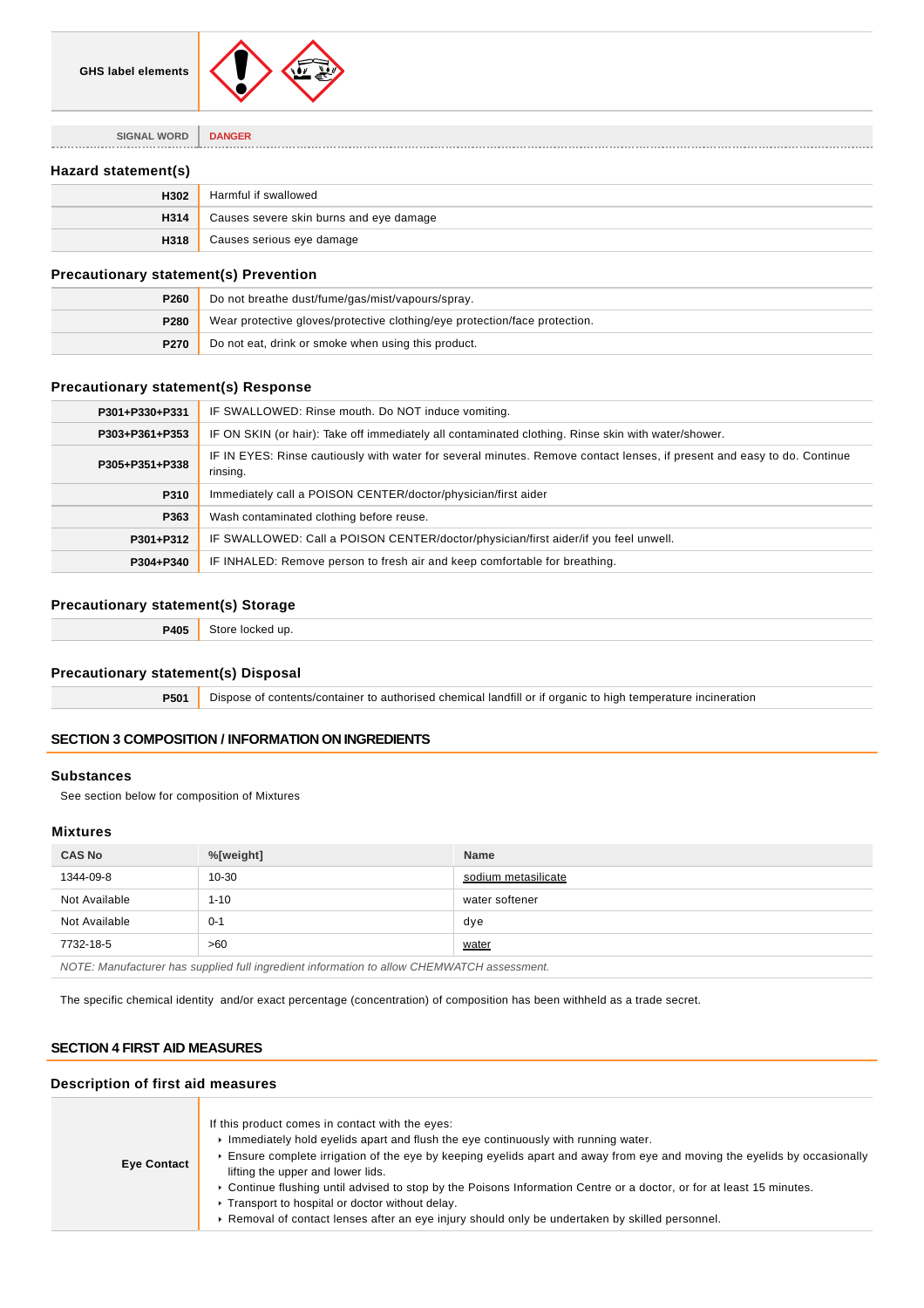

**SIGNAL WORD DANGER**

### **Hazard statement(s)**

| H302 | Harmful if swallowed                    |
|------|-----------------------------------------|
| H314 | Causes severe skin burns and eye damage |
| H318 | Causes serious eye damage               |

### **Precautionary statement(s) Prevention**

| <b>P260</b> | Do not breathe dust/fume/gas/mist/vapours/spray.                           |
|-------------|----------------------------------------------------------------------------|
| P280        | Wear protective gloves/protective clothing/eye protection/face protection. |
| <b>P270</b> | Do not eat, drink or smoke when using this product.                        |

### **Precautionary statement(s) Response**

| P301+P330+P331 | IF SWALLOWED: Rinse mouth. Do NOT induce vomiting.                                                                                  |
|----------------|-------------------------------------------------------------------------------------------------------------------------------------|
| P303+P361+P353 | IF ON SKIN (or hair): Take off immediately all contaminated clothing. Rinse skin with water/shower.                                 |
| P305+P351+P338 | IF IN EYES: Rinse cautiously with water for several minutes. Remove contact lenses, if present and easy to do. Continue<br>rinsing. |
| P310           | Immediately call a POISON CENTER/doctor/physician/first aider                                                                       |
| P363           | Wash contaminated clothing before reuse.                                                                                            |
| P301+P312      | IF SWALLOWED: Call a POISON CENTER/doctor/physician/first aider/if you feel unwell.                                                 |
| P304+P340      | IF INHALED: Remove person to fresh air and keep comfortable for breathing.                                                          |
|                |                                                                                                                                     |

### **Precautionary statement(s) Storage**

| B<br>$  -$ | . .<br>יי<br>. |
|------------|----------------|
|            |                |

### **Precautionary statement(s) Disposal**

**P501** Dispose of contents/container to authorised chemical landfill or if organic to high temperature incineration

### **SECTION 3 COMPOSITION / INFORMATION ON INGREDIENTS**

#### **Substances**

See section below for composition of Mixtures

### **Mixtures**

| <b>CAS No</b>                                                                              | %[weight] | <b>Name</b>         |
|--------------------------------------------------------------------------------------------|-----------|---------------------|
| 1344-09-8                                                                                  | $10 - 30$ | sodium metasilicate |
| Not Available                                                                              | $1 - 10$  | water softener      |
| Not Available                                                                              | $0 - 1$   | dye                 |
| 7732-18-5                                                                                  | >60       | water               |
| NOTE: Manufacturer has supplied full ingredient information to allow CHEMWATCH assessment. |           |                     |

The specific chemical identity and/or exact percentage (concentration) of composition has been withheld as a trade secret.

### **SECTION 4 FIRST AID MEASURES**

### **Description of first aid measures**

| <b>Eye Contact</b> | If this product comes in contact with the eyes:<br>$\triangleright$ Immediately hold evelids apart and flush the eye continuously with running water.<br>Ensure complete irrigation of the eye by keeping eyelids apart and away from eye and moving the eyelids by occasionally<br>lifting the upper and lower lids.<br>► Continue flushing until advised to stop by the Poisons Information Centre or a doctor, or for at least 15 minutes.<br>▶ Transport to hospital or doctor without delay.<br>► Removal of contact lenses after an eye injury should only be undertaken by skilled personnel. |
|--------------------|------------------------------------------------------------------------------------------------------------------------------------------------------------------------------------------------------------------------------------------------------------------------------------------------------------------------------------------------------------------------------------------------------------------------------------------------------------------------------------------------------------------------------------------------------------------------------------------------------|
|--------------------|------------------------------------------------------------------------------------------------------------------------------------------------------------------------------------------------------------------------------------------------------------------------------------------------------------------------------------------------------------------------------------------------------------------------------------------------------------------------------------------------------------------------------------------------------------------------------------------------------|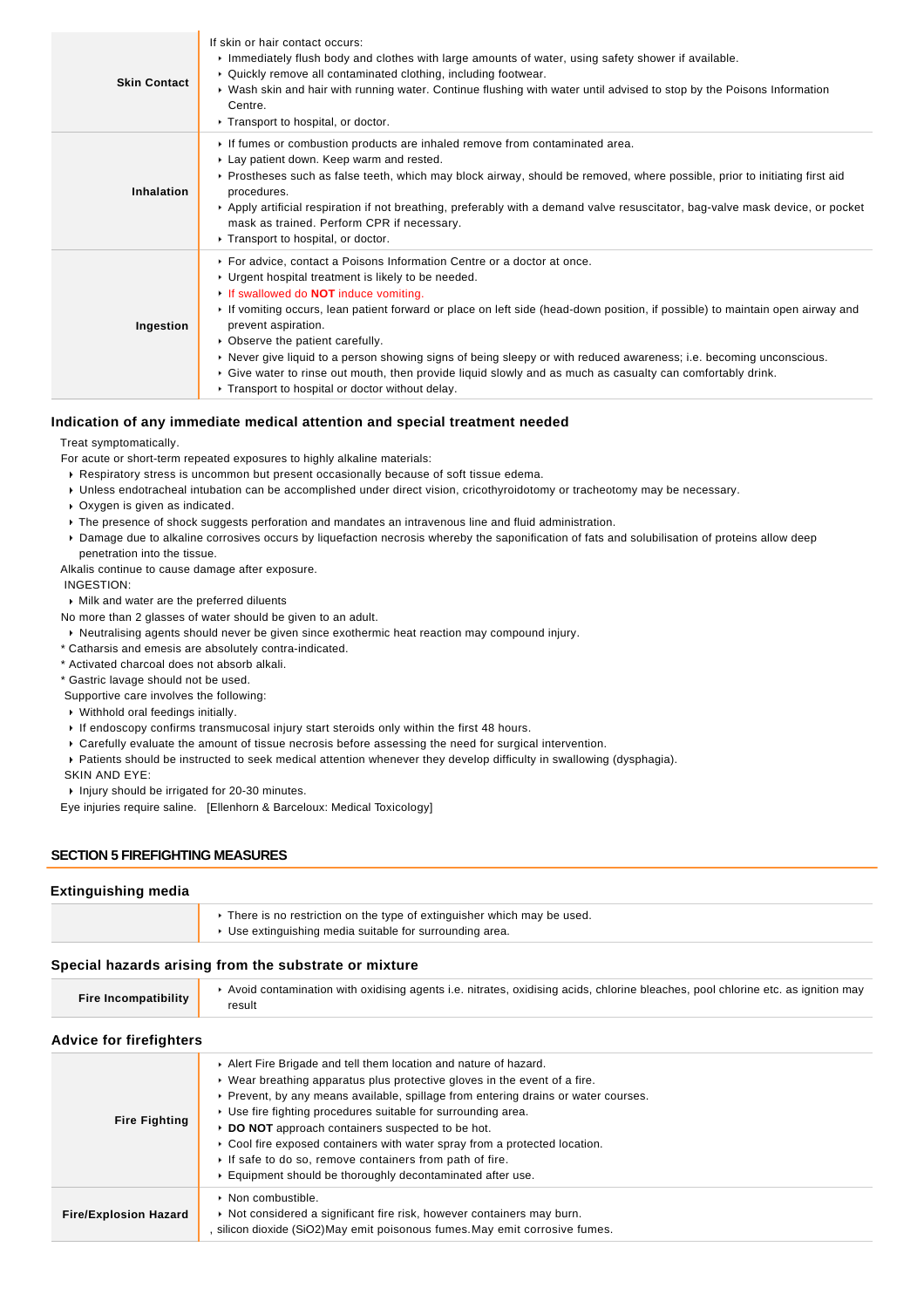| <b>Skin Contact</b> | If skin or hair contact occurs:<br>Immediately flush body and clothes with large amounts of water, using safety shower if available.<br>• Quickly remove all contaminated clothing, including footwear.<br>▶ Wash skin and hair with running water. Continue flushing with water until advised to stop by the Poisons Information<br>Centre.<br>Transport to hospital, or doctor.                                                                                                                                                                                                                                                                                   |
|---------------------|---------------------------------------------------------------------------------------------------------------------------------------------------------------------------------------------------------------------------------------------------------------------------------------------------------------------------------------------------------------------------------------------------------------------------------------------------------------------------------------------------------------------------------------------------------------------------------------------------------------------------------------------------------------------|
| Inhalation          | If fumes or combustion products are inhaled remove from contaminated area.<br>► Lay patient down. Keep warm and rested.<br>► Prostheses such as false teeth, which may block airway, should be removed, where possible, prior to initiating first aid<br>procedures.<br>► Apply artificial respiration if not breathing, preferably with a demand valve resuscitator, bag-valve mask device, or pocket<br>mask as trained. Perform CPR if necessary.<br>Transport to hospital, or doctor.                                                                                                                                                                           |
| Ingestion           | ► For advice, contact a Poisons Information Centre or a doctor at once.<br>• Urgent hospital treatment is likely to be needed.<br>If swallowed do <b>NOT</b> induce vomiting.<br>► If vomiting occurs, lean patient forward or place on left side (head-down position, if possible) to maintain open airway and<br>prevent aspiration.<br>• Observe the patient carefully.<br>► Never give liquid to a person showing signs of being sleepy or with reduced awareness; i.e. becoming unconscious.<br>► Give water to rinse out mouth, then provide liquid slowly and as much as casualty can comfortably drink.<br>▶ Transport to hospital or doctor without delay. |

#### **Indication of any immediate medical attention and special treatment needed**

Treat symptomatically.

For acute or short-term repeated exposures to highly alkaline materials:

- Respiratory stress is uncommon but present occasionally because of soft tissue edema.
- Unless endotracheal intubation can be accomplished under direct vision, cricothyroidotomy or tracheotomy may be necessary.
- Oxygen is given as indicated.
- The presence of shock suggests perforation and mandates an intravenous line and fluid administration.
- Damage due to alkaline corrosives occurs by liquefaction necrosis whereby the saponification of fats and solubilisation of proteins allow deep penetration into the tissue.

Alkalis continue to cause damage after exposure.

INGESTION:

Milk and water are the preferred diluents

- No more than 2 glasses of water should be given to an adult.
- Neutralising agents should never be given since exothermic heat reaction may compound injury.
- \* Catharsis and emesis are absolutely contra-indicated.

\* Activated charcoal does not absorb alkali.

\* Gastric lavage should not be used.

Supportive care involves the following:

- Withhold oral feedings initially.
- If endoscopy confirms transmucosal injury start steroids only within the first 48 hours.
- Carefully evaluate the amount of tissue necrosis before assessing the need for surgical intervention.
- Patients should be instructed to seek medical attention whenever they develop difficulty in swallowing (dysphagia).

SKIN AND EYE:

Injury should be irrigated for 20-30 minutes.

Eye injuries require saline. [Ellenhorn & Barceloux: Medical Toxicology]

#### **SECTION 5 FIREFIGHTING MEASURES**

### **Extinguishing media**

| ► There is no restriction on the type of extinguisher which may be used.<br>$\triangleright$ Use extinguishing media suitable for surrounding area. |
|-----------------------------------------------------------------------------------------------------------------------------------------------------|
|                                                                                                                                                     |

### **Special hazards arising from the substrate or mixture**

| <b>Fire Incompatibility</b> | Avoid contamination with oxidising agents i.e. nitrates, oxidising acids, chlorine bleaches, pool chlorine etc. as ignition may |
|-----------------------------|---------------------------------------------------------------------------------------------------------------------------------|
|                             |                                                                                                                                 |

### **Advice for firefighters**

| <b>Fire Fighting</b>         | Alert Fire Brigade and tell them location and nature of hazard.<br>$\triangleright$ Wear breathing apparatus plus protective gloves in the event of a fire.<br>▶ Prevent, by any means available, spillage from entering drains or water courses.<br>► Use fire fighting procedures suitable for surrounding area.<br>▶ DO NOT approach containers suspected to be hot.<br>Cool fire exposed containers with water spray from a protected location.<br>If safe to do so, remove containers from path of fire.<br>Equipment should be thoroughly decontaminated after use. |
|------------------------------|---------------------------------------------------------------------------------------------------------------------------------------------------------------------------------------------------------------------------------------------------------------------------------------------------------------------------------------------------------------------------------------------------------------------------------------------------------------------------------------------------------------------------------------------------------------------------|
| <b>Fire/Explosion Hazard</b> | $\triangleright$ Non combustible.<br>► Not considered a significant fire risk, however containers may burn.<br>silicon dioxide (SiO2) May emit poisonous fumes. May emit corrosive fumes.                                                                                                                                                                                                                                                                                                                                                                                 |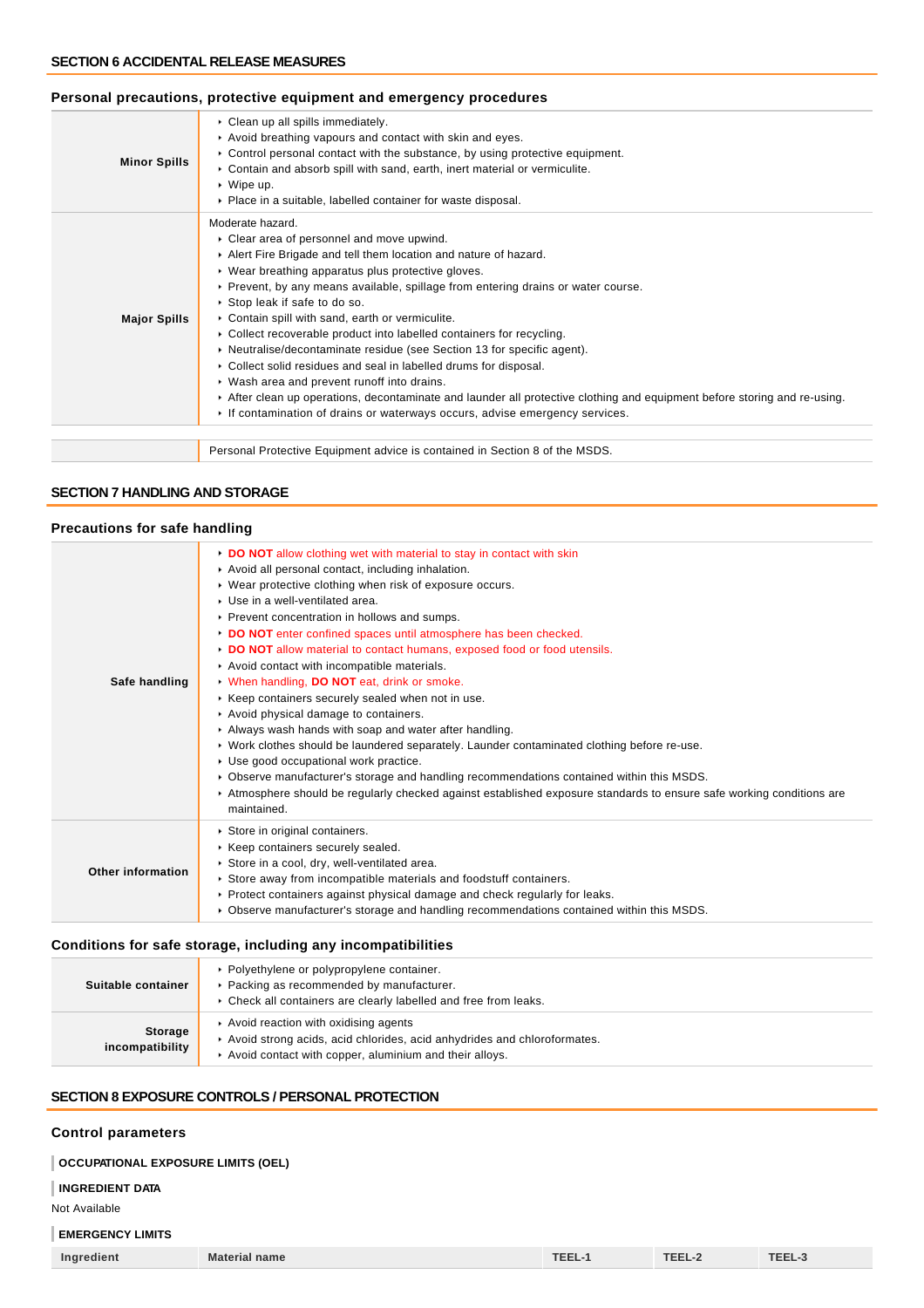### **Minor Spills** Clean up all spills immediately. Avoid breathing vapours and contact with skin and eyes. ▶ Control personal contact with the substance, by using protective equipment. Contain and absorb spill with sand, earth, inert material or vermiculite. Wipe up. Place in a suitable, labelled container for waste disposal. **Major Spills** Moderate hazard. Clear area of personnel and move upwind. Alert Fire Brigade and tell them location and nature of hazard. Wear breathing apparatus plus protective gloves. Prevent, by any means available, spillage from entering drains or water course. Stop leak if safe to do so. Contain spill with sand, earth or vermiculite. Collect recoverable product into labelled containers for recycling. ▶ Neutralise/decontaminate residue (see Section 13 for specific agent). Collect solid residues and seal in labelled drums for disposal. Wash area and prevent runoff into drains. After clean up operations, decontaminate and launder all protective clothing and equipment before storing and re-using. If contamination of drains or waterways occurs, advise emergency services. Personal Protective Equipment advice is contained in Section 8 of the MSDS.

### **Personal precautions, protective equipment and emergency procedures**

#### **SECTION 7 HANDLING AND STORAGE**

### **Precautions for safe handling**

| <b>FIGUALIONS TOP SAIG HANDRING</b> |                                                                                                                                                                                                                                                                                                                                                                                                                                                                                                                                                                                                                                                                                                                                                                                                                                                                                                                                                                                                                                                           |
|-------------------------------------|-----------------------------------------------------------------------------------------------------------------------------------------------------------------------------------------------------------------------------------------------------------------------------------------------------------------------------------------------------------------------------------------------------------------------------------------------------------------------------------------------------------------------------------------------------------------------------------------------------------------------------------------------------------------------------------------------------------------------------------------------------------------------------------------------------------------------------------------------------------------------------------------------------------------------------------------------------------------------------------------------------------------------------------------------------------|
| Safe handling                       | DO NOT allow clothing wet with material to stay in contact with skin<br>Avoid all personal contact, including inhalation.<br>▶ Wear protective clothing when risk of exposure occurs.<br>▶ Use in a well-ventilated area.<br>▶ Prevent concentration in hollows and sumps.<br>DO NOT enter confined spaces until atmosphere has been checked.<br>DO NOT allow material to contact humans, exposed food or food utensils.<br>Avoid contact with incompatible materials.<br>V When handling, DO NOT eat, drink or smoke.<br>▶ Keep containers securely sealed when not in use.<br>Avoid physical damage to containers.<br>Always wash hands with soap and water after handling.<br>► Work clothes should be laundered separately. Launder contaminated clothing before re-use.<br>Use good occupational work practice.<br>▶ Observe manufacturer's storage and handling recommendations contained within this MSDS.<br>▶ Atmosphere should be regularly checked against established exposure standards to ensure safe working conditions are<br>maintained. |
| Other information                   | Store in original containers.<br>Keep containers securely sealed.<br>Store in a cool, dry, well-ventilated area.<br>► Store away from incompatible materials and foodstuff containers.<br>▶ Protect containers against physical damage and check regularly for leaks.<br>▶ Observe manufacturer's storage and handling recommendations contained within this MSDS.                                                                                                                                                                                                                                                                                                                                                                                                                                                                                                                                                                                                                                                                                        |

### **Conditions for safe storage, including any incompatibilities**

| Suitable container                | • Polyethylene or polypropylene container.<br>▶ Packing as recommended by manufacturer.<br>▶ Check all containers are clearly labelled and free from leaks.               |
|-----------------------------------|---------------------------------------------------------------------------------------------------------------------------------------------------------------------------|
| <b>Storage</b><br>incompatibility | Avoid reaction with oxidising agents<br>Avoid strong acids, acid chlorides, acid anhydrides and chloroformates.<br>Avoid contact with copper, aluminium and their alloys. |

### **SECTION 8 EXPOSURE CONTROLS / PERSONAL PROTECTION**

### **Control parameters**

### **OCCUPATIONAL EXPOSURE LIMITS (OEL)**

### **INGREDIENT DATA**

Not Available

### **EMERGENCY LIMITS**

| <b>Ingredient</b> | <b>Material name</b> | TEEL-1 | TEEL-2 | TEEL-3 |
|-------------------|----------------------|--------|--------|--------|
|                   |                      |        |        |        |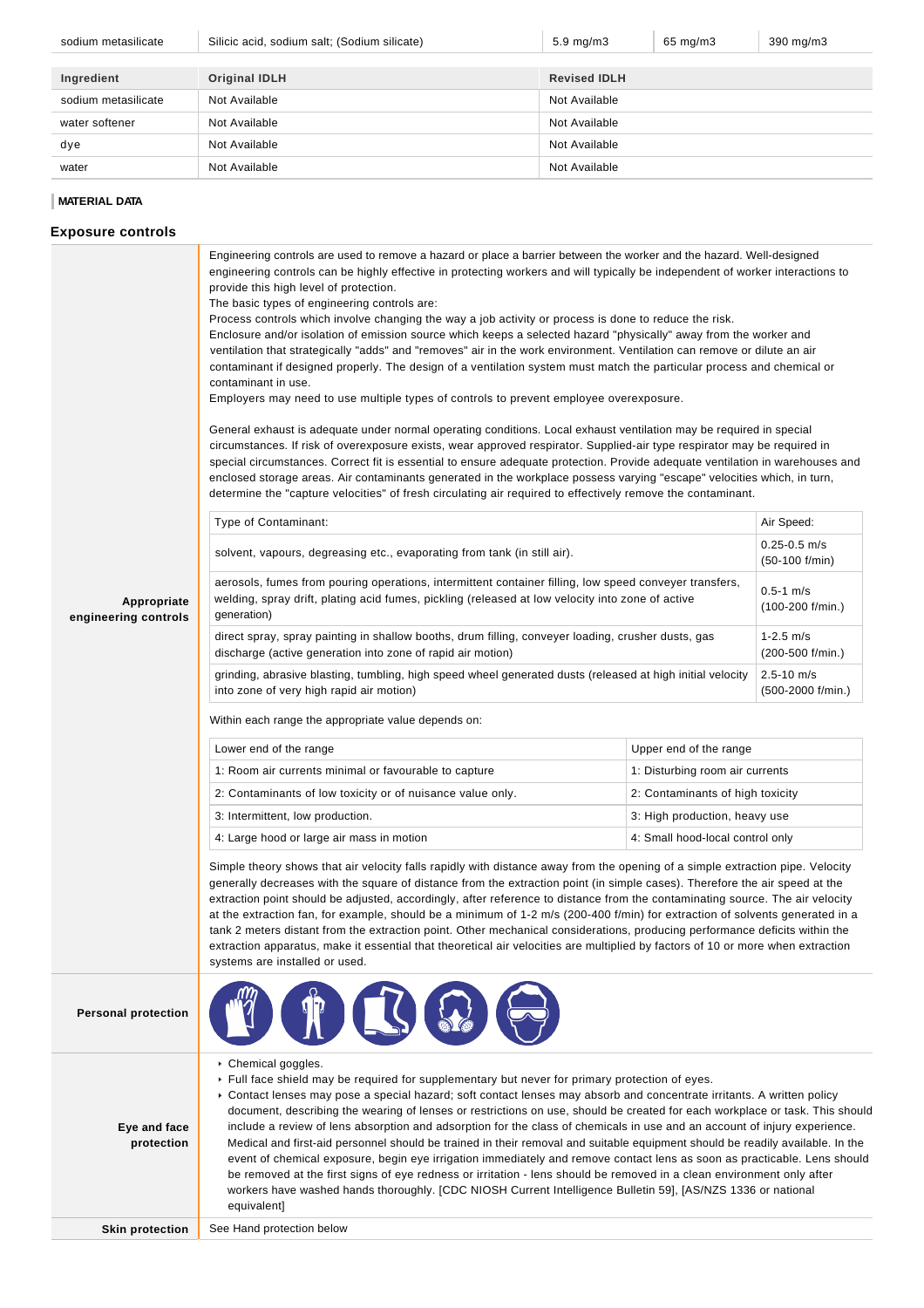| sodium metasilicate | Silicic acid, sodium salt; (Sodium silicate) | $5.9 \text{ mg/m}$  | 65 mg/m3 | 390 mg/m3 |
|---------------------|----------------------------------------------|---------------------|----------|-----------|
|                     |                                              |                     |          |           |
| Ingredient          | <b>Original IDLH</b>                         | <b>Revised IDLH</b> |          |           |
| sodium metasilicate | Not Available                                | Not Available       |          |           |
| water softener      | Not Available                                | Not Available       |          |           |
| dye                 | Not Available                                | Not Available       |          |           |
| water               | Not Available                                | Not Available       |          |           |

### **MATERIAL DATA**

### **Exposure controls**

| Appropriate<br>engineering controls | engineering controls can be highly effective in protecting workers and will typically be independent of worker interactions to<br>provide this high level of protection.<br>The basic types of engineering controls are:<br>Process controls which involve changing the way a job activity or process is done to reduce the risk.<br>Enclosure and/or isolation of emission source which keeps a selected hazard "physically" away from the worker and<br>ventilation that strategically "adds" and "removes" air in the work environment. Ventilation can remove or dilute an air<br>contaminant if designed properly. The design of a ventilation system must match the particular process and chemical or<br>contaminant in use.<br>Employers may need to use multiple types of controls to prevent employee overexposure.<br>General exhaust is adequate under normal operating conditions. Local exhaust ventilation may be required in special<br>circumstances. If risk of overexposure exists, wear approved respirator. Supplied-air type respirator may be required in<br>special circumstances. Correct fit is essential to ensure adequate protection. Provide adequate ventilation in warehouses and<br>enclosed storage areas. Air contaminants generated in the workplace possess varying "escape" velocities which, in turn,<br>determine the "capture velocities" of fresh circulating air required to effectively remove the contaminant.<br>Type of Contaminant:<br>solvent, vapours, degreasing etc., evaporating from tank (in still air).<br>aerosols, fumes from pouring operations, intermittent container filling, low speed conveyer transfers,<br>welding, spray drift, plating acid fumes, pickling (released at low velocity into zone of active<br>generation)<br>direct spray, spray painting in shallow booths, drum filling, conveyer loading, crusher dusts, gas<br>discharge (active generation into zone of rapid air motion)<br>grinding, abrasive blasting, tumbling, high speed wheel generated dusts (released at high initial velocity<br>into zone of very high rapid air motion)<br>Within each range the appropriate value depends on:<br>Lower end of the range<br>Upper end of the range<br>1: Room air currents minimal or favourable to capture<br>1: Disturbing room air currents<br>2: Contaminants of low toxicity or of nuisance value only.<br>2: Contaminants of high toxicity<br>3: Intermittent, low production.<br>3: High production, heavy use<br>4: Large hood or large air mass in motion<br>4: Small hood-local control only | Air Speed:<br>$0.25 - 0.5$ m/s<br>(50-100 f/min)<br>$0.5 - 1$ m/s<br>$(100-200)$ f/min.)<br>$1 - 2.5$ m/s<br>(200-500 f/min.)<br>$2.5 - 10$ m/s<br>(500-2000 f/min.) |  |  |
|-------------------------------------|--------------------------------------------------------------------------------------------------------------------------------------------------------------------------------------------------------------------------------------------------------------------------------------------------------------------------------------------------------------------------------------------------------------------------------------------------------------------------------------------------------------------------------------------------------------------------------------------------------------------------------------------------------------------------------------------------------------------------------------------------------------------------------------------------------------------------------------------------------------------------------------------------------------------------------------------------------------------------------------------------------------------------------------------------------------------------------------------------------------------------------------------------------------------------------------------------------------------------------------------------------------------------------------------------------------------------------------------------------------------------------------------------------------------------------------------------------------------------------------------------------------------------------------------------------------------------------------------------------------------------------------------------------------------------------------------------------------------------------------------------------------------------------------------------------------------------------------------------------------------------------------------------------------------------------------------------------------------------------------------------------------------------------------------------------------------------------------------------------------------------------------------------------------------------------------------------------------------------------------------------------------------------------------------------------------------------------------------------------------------------------------------------------------------------------------------------------------------------------------------------------------------------------------------------------------------------------------------|----------------------------------------------------------------------------------------------------------------------------------------------------------------------|--|--|
|                                     | Simple theory shows that air velocity falls rapidly with distance away from the opening of a simple extraction pipe. Velocity<br>generally decreases with the square of distance from the extraction point (in simple cases). Therefore the air speed at the<br>extraction point should be adjusted, accordingly, after reference to distance from the contaminating source. The air velocity<br>at the extraction fan, for example, should be a minimum of 1-2 m/s (200-400 f/min) for extraction of solvents generated in a<br>tank 2 meters distant from the extraction point. Other mechanical considerations, producing performance deficits within the<br>extraction apparatus, make it essential that theoretical air velocities are multiplied by factors of 10 or more when extraction<br>systems are installed or used.                                                                                                                                                                                                                                                                                                                                                                                                                                                                                                                                                                                                                                                                                                                                                                                                                                                                                                                                                                                                                                                                                                                                                                                                                                                                                                                                                                                                                                                                                                                                                                                                                                                                                                                                                          |                                                                                                                                                                      |  |  |
| <b>Personal protection</b>          |                                                                                                                                                                                                                                                                                                                                                                                                                                                                                                                                                                                                                                                                                                                                                                                                                                                                                                                                                                                                                                                                                                                                                                                                                                                                                                                                                                                                                                                                                                                                                                                                                                                                                                                                                                                                                                                                                                                                                                                                                                                                                                                                                                                                                                                                                                                                                                                                                                                                                                                                                                                            |                                                                                                                                                                      |  |  |
| Eye and face<br>protection          | ▶ Chemical goggles.<br>► Full face shield may be required for supplementary but never for primary protection of eyes.<br>► Contact lenses may pose a special hazard; soft contact lenses may absorb and concentrate irritants. A written policy<br>document, describing the wearing of lenses or restrictions on use, should be created for each workplace or task. This should<br>include a review of lens absorption and adsorption for the class of chemicals in use and an account of injury experience.<br>Medical and first-aid personnel should be trained in their removal and suitable equipment should be readily available. In the<br>event of chemical exposure, begin eye irrigation immediately and remove contact lens as soon as practicable. Lens should<br>be removed at the first signs of eye redness or irritation - lens should be removed in a clean environment only after<br>workers have washed hands thoroughly. [CDC NIOSH Current Intelligence Bulletin 59], [AS/NZS 1336 or national<br>equivalent]                                                                                                                                                                                                                                                                                                                                                                                                                                                                                                                                                                                                                                                                                                                                                                                                                                                                                                                                                                                                                                                                                                                                                                                                                                                                                                                                                                                                                                                                                                                                                          |                                                                                                                                                                      |  |  |
| <b>Skin protection</b>              | See Hand protection below                                                                                                                                                                                                                                                                                                                                                                                                                                                                                                                                                                                                                                                                                                                                                                                                                                                                                                                                                                                                                                                                                                                                                                                                                                                                                                                                                                                                                                                                                                                                                                                                                                                                                                                                                                                                                                                                                                                                                                                                                                                                                                                                                                                                                                                                                                                                                                                                                                                                                                                                                                  |                                                                                                                                                                      |  |  |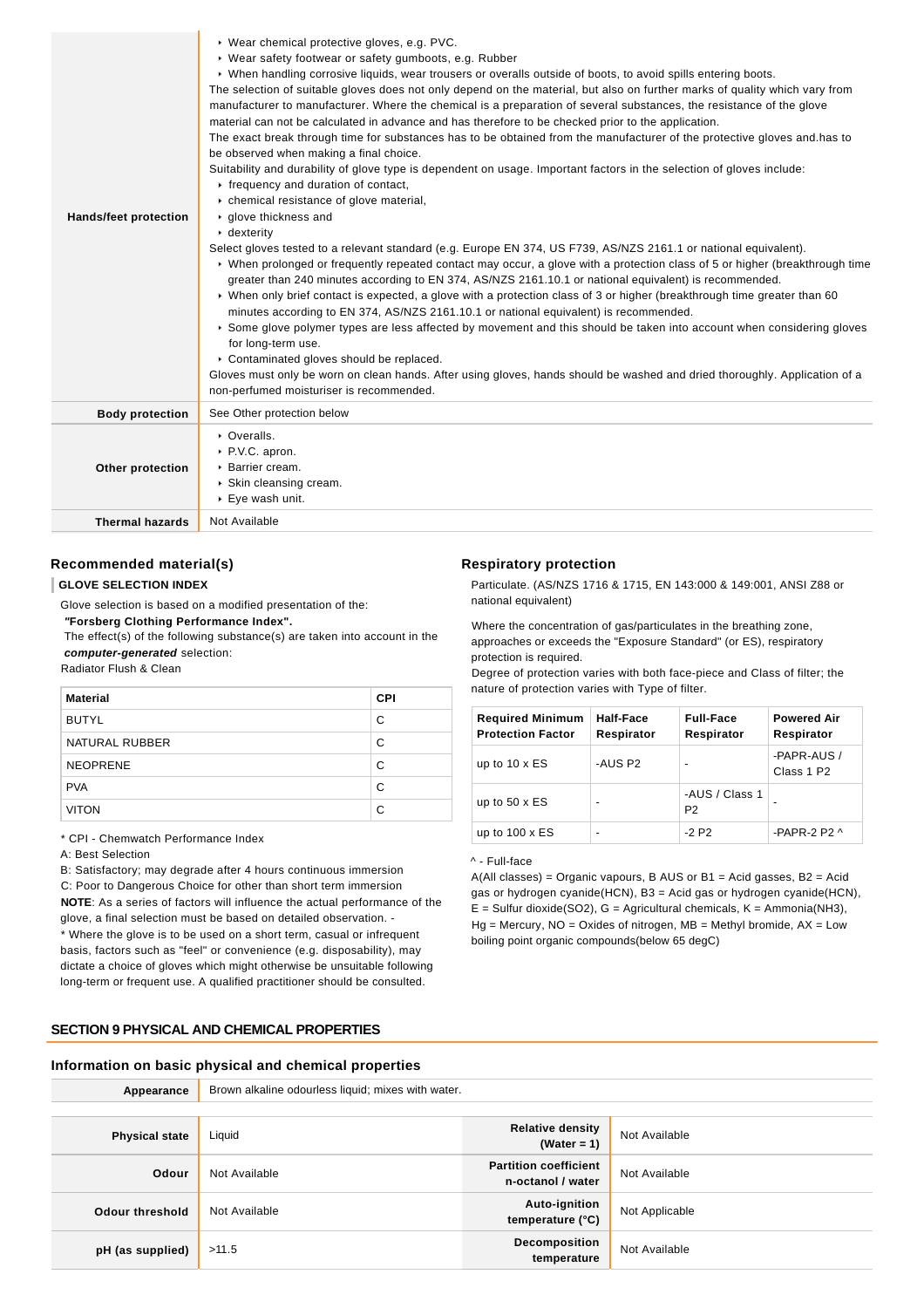| <b>Hands/feet protection</b> | ▶ Wear chemical protective gloves, e.g. PVC.<br>▶ Wear safety footwear or safety gumboots, e.g. Rubber<br>▶ When handling corrosive liquids, wear trousers or overalls outside of boots, to avoid spills entering boots.<br>The selection of suitable gloves does not only depend on the material, but also on further marks of quality which vary from<br>manufacturer to manufacturer. Where the chemical is a preparation of several substances, the resistance of the glove<br>material can not be calculated in advance and has therefore to be checked prior to the application.<br>The exact break through time for substances has to be obtained from the manufacturer of the protective gloves and has to<br>be observed when making a final choice.<br>Suitability and durability of glove type is dependent on usage. Important factors in the selection of gloves include:<br>r frequency and duration of contact,<br>• chemical resistance of glove material,<br>▶ qlove thickness and<br>$\cdot$ dexterity<br>Select gloves tested to a relevant standard (e.g. Europe EN 374, US F739, AS/NZS 2161.1 or national equivalent).<br>• When prolonged or frequently repeated contact may occur, a glove with a protection class of 5 or higher (breakthrough time<br>greater than 240 minutes according to EN 374, AS/NZS 2161.10.1 or national equivalent) is recommended.<br>▶ When only brief contact is expected, a glove with a protection class of 3 or higher (breakthrough time greater than 60<br>minutes according to EN 374, AS/NZS 2161.10.1 or national equivalent) is recommended.<br>Some glove polymer types are less affected by movement and this should be taken into account when considering gloves<br>for long-term use.<br>Contaminated gloves should be replaced.<br>Gloves must only be worn on clean hands. After using gloves, hands should be washed and dried thoroughly. Application of a<br>non-perfumed moisturiser is recommended. |
|------------------------------|--------------------------------------------------------------------------------------------------------------------------------------------------------------------------------------------------------------------------------------------------------------------------------------------------------------------------------------------------------------------------------------------------------------------------------------------------------------------------------------------------------------------------------------------------------------------------------------------------------------------------------------------------------------------------------------------------------------------------------------------------------------------------------------------------------------------------------------------------------------------------------------------------------------------------------------------------------------------------------------------------------------------------------------------------------------------------------------------------------------------------------------------------------------------------------------------------------------------------------------------------------------------------------------------------------------------------------------------------------------------------------------------------------------------------------------------------------------------------------------------------------------------------------------------------------------------------------------------------------------------------------------------------------------------------------------------------------------------------------------------------------------------------------------------------------------------------------------------------------------------------------------------------------------------------------------------------------------------------------|
| <b>Body protection</b>       | See Other protection below                                                                                                                                                                                                                                                                                                                                                                                                                                                                                                                                                                                                                                                                                                                                                                                                                                                                                                                                                                                                                                                                                                                                                                                                                                                                                                                                                                                                                                                                                                                                                                                                                                                                                                                                                                                                                                                                                                                                                     |
| Other protection             | • Overalls.<br>P.V.C. apron.<br>▶ Barrier cream.<br>▶ Skin cleansing cream.<br>▶ Eye wash unit.                                                                                                                                                                                                                                                                                                                                                                                                                                                                                                                                                                                                                                                                                                                                                                                                                                                                                                                                                                                                                                                                                                                                                                                                                                                                                                                                                                                                                                                                                                                                                                                                                                                                                                                                                                                                                                                                                |
| <b>Thermal hazards</b>       | Not Available                                                                                                                                                                                                                                                                                                                                                                                                                                                                                                                                                                                                                                                                                                                                                                                                                                                                                                                                                                                                                                                                                                                                                                                                                                                                                                                                                                                                                                                                                                                                                                                                                                                                                                                                                                                                                                                                                                                                                                  |

### **Recommended material(s)**

### **GLOVE SELECTION INDEX**

Glove selection is based on a modified presentation of the:

 **"Forsberg Clothing Performance Index".**

 The effect(s) of the following substance(s) are taken into account in the **computer-generated** selection:

Radiator Flush & Clean

| <b>Material</b> | <b>CPI</b> |
|-----------------|------------|
| <b>BUTYL</b>    | C          |
| NATURAL RUBBER  | C          |
| <b>NEOPRENE</b> | C          |
| <b>PVA</b>      | C          |
| <b>VITON</b>    | C          |

\* CPI - Chemwatch Performance Index

#### A: Best Selection

B: Satisfactory; may degrade after 4 hours continuous immersion C: Poor to Dangerous Choice for other than short term immersion **NOTE**: As a series of factors will influence the actual performance of the glove, a final selection must be based on detailed observation. -

\* Where the glove is to be used on a short term, casual or infrequent basis, factors such as "feel" or convenience (e.g. disposability), may dictate a choice of gloves which might otherwise be unsuitable following long-term or frequent use. A qualified practitioner should be consulted.

# **SECTION 9 PHYSICAL AND CHEMICAL PROPERTIES**

# **Respiratory protection**

Particulate. (AS/NZS 1716 & 1715, EN 143:000 & 149:001, ANSI Z88 or national equivalent)

Where the concentration of gas/particulates in the breathing zone, approaches or exceeds the "Exposure Standard" (or ES), respiratory protection is required.

Degree of protection varies with both face-piece and Class of filter; the nature of protection varies with Type of filter.

| <b>Required Minimum</b><br><b>Protection Factor</b> | Half-Face<br>Respirator | <b>Full-Face</b><br>Respirator   | <b>Powered Air</b><br>Respirator      |
|-----------------------------------------------------|-------------------------|----------------------------------|---------------------------------------|
| up to $10 \times ES$                                | -AUS P2                 |                                  | -PAPR-AUS /<br>Class 1 P <sub>2</sub> |
| up to $50 \times ES$                                | -                       | -AUS / Class 1<br>P <sub>2</sub> |                                       |
| up to $100 \times ES$                               | -                       | $-2$ P <sub>2</sub>              | -PAPR-2 P2 $\land$                    |

#### ^ - Full-face

A(All classes) = Organic vapours, B AUS or  $B1$  = Acid gasses,  $B2$  = Acid gas or hydrogen cyanide(HCN), B3 = Acid gas or hydrogen cyanide(HCN),  $E =$  Sulfur dioxide(SO2), G = Agricultural chemicals, K = Ammonia(NH3),  $Hg =$  Mercury, NO = Oxides of nitrogen, MB = Methyl bromide, AX = Low boiling point organic compounds(below 65 degC)

# **Information on basic physical and chemical properties**

| Appearance            | Brown alkaline odourless liquid; mixes with water. |                                                   |                |
|-----------------------|----------------------------------------------------|---------------------------------------------------|----------------|
|                       |                                                    |                                                   |                |
| <b>Physical state</b> | Liquid                                             | <b>Relative density</b><br>(Water = $1$ )         | Not Available  |
| Odour                 | Not Available                                      | <b>Partition coefficient</b><br>n-octanol / water | Not Available  |
| Odour threshold       | Not Available                                      | Auto-ignition<br>temperature (°C)                 | Not Applicable |
| pH (as supplied)      | >11.5                                              | Decomposition<br>temperature                      | Not Available  |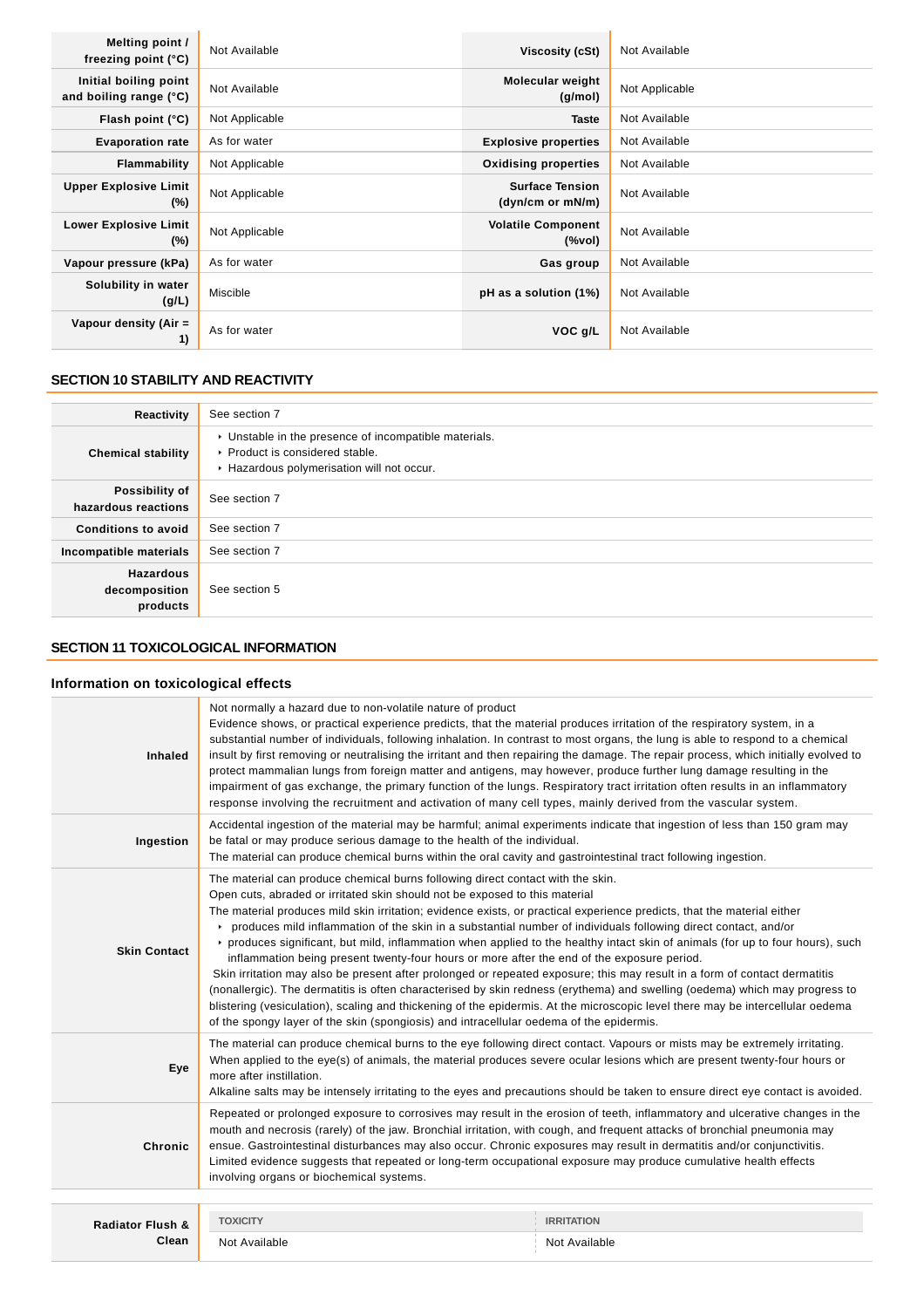| Melting point /<br>freezing point $(°C)$        | Not Available  | Viscosity (cSt)                            | Not Available  |
|-------------------------------------------------|----------------|--------------------------------------------|----------------|
| Initial boiling point<br>and boiling range (°C) | Not Available  | Molecular weight<br>(g/mol)                | Not Applicable |
| Flash point (°C)                                | Not Applicable | <b>Taste</b>                               | Not Available  |
| <b>Evaporation rate</b>                         | As for water   | <b>Explosive properties</b>                | Not Available  |
| Flammability                                    | Not Applicable | <b>Oxidising properties</b>                | Not Available  |
| <b>Upper Explosive Limit</b><br>$(\%)$          | Not Applicable | <b>Surface Tension</b><br>(dyn/cm or mN/m) | Not Available  |
| <b>Lower Explosive Limit</b><br>$(\%)$          | Not Applicable | <b>Volatile Component</b><br>(%vol)        | Not Available  |
| Vapour pressure (kPa)                           | As for water   | Gas group                                  | Not Available  |
| Solubility in water<br>(g/L)                    | Miscible       | pH as a solution (1%)                      | Not Available  |
| Vapour density (Air =<br>1)                     | As for water   | VOC g/L                                    | Not Available  |

### **SECTION 10 STABILITY AND REACTIVITY**

| Reactivity                                    | See section 7                                                                                                                        |
|-----------------------------------------------|--------------------------------------------------------------------------------------------------------------------------------------|
| <b>Chemical stability</b>                     | • Unstable in the presence of incompatible materials.<br>▶ Product is considered stable.<br>Hazardous polymerisation will not occur. |
| Possibility of<br>hazardous reactions         | See section 7                                                                                                                        |
| <b>Conditions to avoid</b>                    | See section 7                                                                                                                        |
| Incompatible materials                        | See section 7                                                                                                                        |
| <b>Hazardous</b><br>decomposition<br>products | See section 5                                                                                                                        |

## **SECTION 11 TOXICOLOGICAL INFORMATION**

### **Information on toxicological effects**

| <b>Inhaled</b>                       | Not normally a hazard due to non-volatile nature of product<br>Evidence shows, or practical experience predicts, that the material produces irritation of the respiratory system, in a<br>substantial number of individuals, following inhalation. In contrast to most organs, the lung is able to respond to a chemical<br>insult by first removing or neutralising the irritant and then repairing the damage. The repair process, which initially evolved to<br>protect mammalian lungs from foreign matter and antigens, may however, produce further lung damage resulting in the<br>impairment of gas exchange, the primary function of the lungs. Respiratory tract irritation often results in an inflammatory<br>response involving the recruitment and activation of many cell types, mainly derived from the vascular system.                                                                                                                                                                                                                                                                                             |                                    |  |
|--------------------------------------|--------------------------------------------------------------------------------------------------------------------------------------------------------------------------------------------------------------------------------------------------------------------------------------------------------------------------------------------------------------------------------------------------------------------------------------------------------------------------------------------------------------------------------------------------------------------------------------------------------------------------------------------------------------------------------------------------------------------------------------------------------------------------------------------------------------------------------------------------------------------------------------------------------------------------------------------------------------------------------------------------------------------------------------------------------------------------------------------------------------------------------------|------------------------------------|--|
| Ingestion                            | Accidental ingestion of the material may be harmful; animal experiments indicate that ingestion of less than 150 gram may<br>be fatal or may produce serious damage to the health of the individual.<br>The material can produce chemical burns within the oral cavity and gastrointestinal tract following ingestion.                                                                                                                                                                                                                                                                                                                                                                                                                                                                                                                                                                                                                                                                                                                                                                                                               |                                    |  |
| <b>Skin Contact</b>                  | The material can produce chemical burns following direct contact with the skin.<br>Open cuts, abraded or irritated skin should not be exposed to this material<br>The material produces mild skin irritation; evidence exists, or practical experience predicts, that the material either<br>produces mild inflammation of the skin in a substantial number of individuals following direct contact, and/or<br>▶ produces significant, but mild, inflammation when applied to the healthy intact skin of animals (for up to four hours), such<br>inflammation being present twenty-four hours or more after the end of the exposure period.<br>Skin irritation may also be present after prolonged or repeated exposure; this may result in a form of contact dermatitis<br>(nonallergic). The dermatitis is often characterised by skin redness (erythema) and swelling (oedema) which may progress to<br>blistering (vesiculation), scaling and thickening of the epidermis. At the microscopic level there may be intercellular oedema<br>of the spongy layer of the skin (spongiosis) and intracellular oedema of the epidermis. |                                    |  |
| Eye                                  | The material can produce chemical burns to the eye following direct contact. Vapours or mists may be extremely irritating.<br>When applied to the eye(s) of animals, the material produces severe ocular lesions which are present twenty-four hours or<br>more after instillation.<br>Alkaline salts may be intensely irritating to the eyes and precautions should be taken to ensure direct eye contact is avoided.                                                                                                                                                                                                                                                                                                                                                                                                                                                                                                                                                                                                                                                                                                               |                                    |  |
| Chronic                              | Repeated or prolonged exposure to corrosives may result in the erosion of teeth, inflammatory and ulcerative changes in the<br>mouth and necrosis (rarely) of the jaw. Bronchial irritation, with cough, and frequent attacks of bronchial pneumonia may<br>ensue. Gastrointestinal disturbances may also occur. Chronic exposures may result in dermatitis and/or conjunctivitis.<br>Limited evidence suggests that repeated or long-term occupational exposure may produce cumulative health effects<br>involving organs or biochemical systems.                                                                                                                                                                                                                                                                                                                                                                                                                                                                                                                                                                                   |                                    |  |
|                                      |                                                                                                                                                                                                                                                                                                                                                                                                                                                                                                                                                                                                                                                                                                                                                                                                                                                                                                                                                                                                                                                                                                                                      |                                    |  |
| <b>Radiator Flush &amp;</b><br>Clean | <b>TOXICITY</b><br>Not Available                                                                                                                                                                                                                                                                                                                                                                                                                                                                                                                                                                                                                                                                                                                                                                                                                                                                                                                                                                                                                                                                                                     | <b>IRRITATION</b><br>Not Available |  |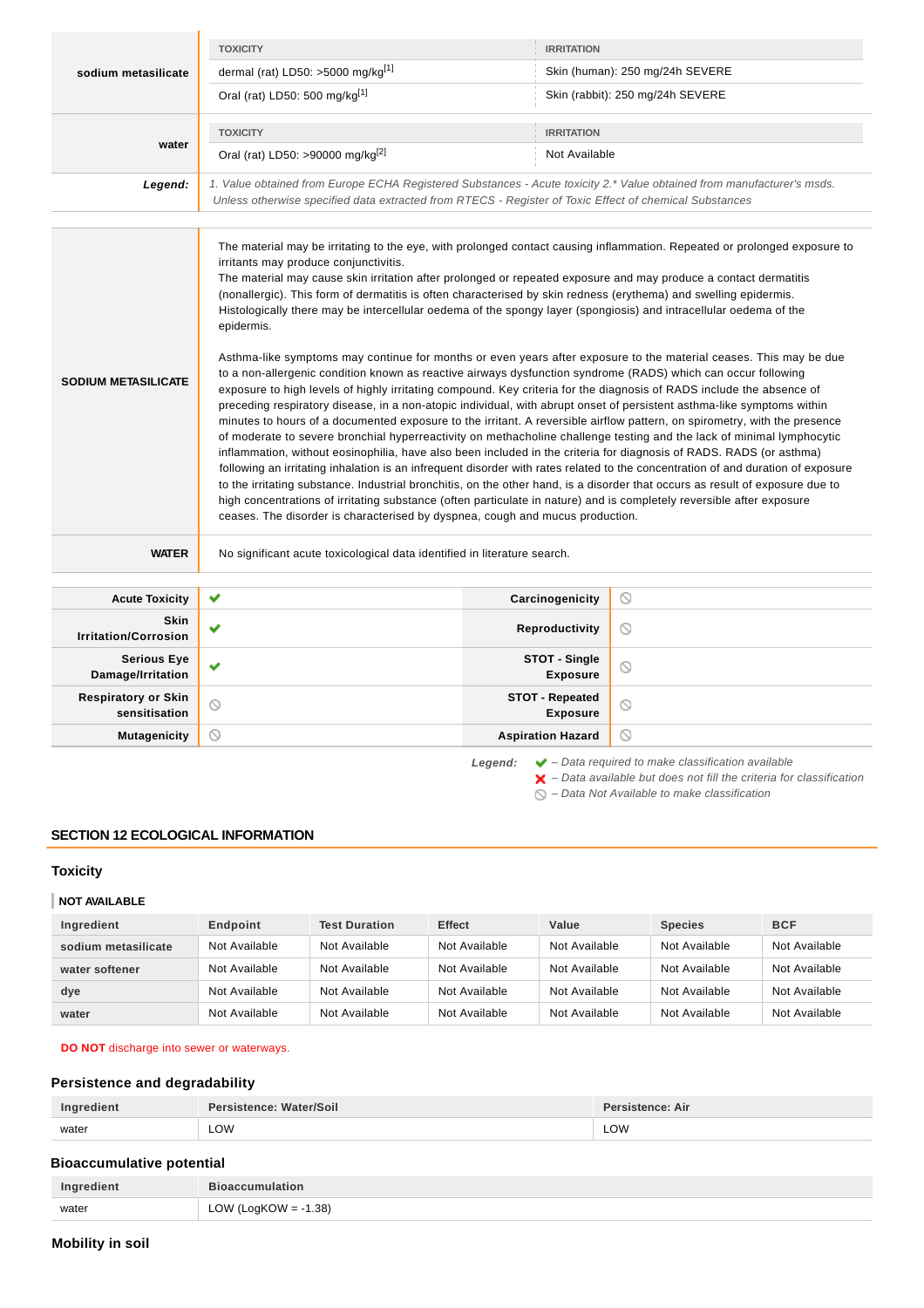|                                             | <b>TOXICITY</b>                                                                                                                                                                                                                                                                                                                                                                                                                                                                                                                                                                                                                                                                                                                                                                                                                                                                                                                                                                                                                                                                                                                                                                                                                                                                                                                                                                                                                                                                                                                                                                                                                                                                                                                                                                                                                                                                                   | <b>IRRITATION</b>                         |                                                                                                                                                                    |
|---------------------------------------------|---------------------------------------------------------------------------------------------------------------------------------------------------------------------------------------------------------------------------------------------------------------------------------------------------------------------------------------------------------------------------------------------------------------------------------------------------------------------------------------------------------------------------------------------------------------------------------------------------------------------------------------------------------------------------------------------------------------------------------------------------------------------------------------------------------------------------------------------------------------------------------------------------------------------------------------------------------------------------------------------------------------------------------------------------------------------------------------------------------------------------------------------------------------------------------------------------------------------------------------------------------------------------------------------------------------------------------------------------------------------------------------------------------------------------------------------------------------------------------------------------------------------------------------------------------------------------------------------------------------------------------------------------------------------------------------------------------------------------------------------------------------------------------------------------------------------------------------------------------------------------------------------------|-------------------------------------------|--------------------------------------------------------------------------------------------------------------------------------------------------------------------|
| sodium metasilicate                         | dermal (rat) LD50: >5000 mg/kg[1]                                                                                                                                                                                                                                                                                                                                                                                                                                                                                                                                                                                                                                                                                                                                                                                                                                                                                                                                                                                                                                                                                                                                                                                                                                                                                                                                                                                                                                                                                                                                                                                                                                                                                                                                                                                                                                                                 |                                           | Skin (human): 250 mg/24h SEVERE                                                                                                                                    |
|                                             | Oral (rat) LD50: 500 mg/kg <sup>[1]</sup>                                                                                                                                                                                                                                                                                                                                                                                                                                                                                                                                                                                                                                                                                                                                                                                                                                                                                                                                                                                                                                                                                                                                                                                                                                                                                                                                                                                                                                                                                                                                                                                                                                                                                                                                                                                                                                                         |                                           | Skin (rabbit): 250 mg/24h SEVERE                                                                                                                                   |
|                                             | <b>TOXICITY</b>                                                                                                                                                                                                                                                                                                                                                                                                                                                                                                                                                                                                                                                                                                                                                                                                                                                                                                                                                                                                                                                                                                                                                                                                                                                                                                                                                                                                                                                                                                                                                                                                                                                                                                                                                                                                                                                                                   | <b>IRRITATION</b>                         |                                                                                                                                                                    |
| water                                       | Oral (rat) LD50: >90000 mg/kg <sup>[2]</sup>                                                                                                                                                                                                                                                                                                                                                                                                                                                                                                                                                                                                                                                                                                                                                                                                                                                                                                                                                                                                                                                                                                                                                                                                                                                                                                                                                                                                                                                                                                                                                                                                                                                                                                                                                                                                                                                      | Not Available                             |                                                                                                                                                                    |
| Legend:                                     | 1. Value obtained from Europe ECHA Registered Substances - Acute toxicity 2.* Value obtained from manufacturer's msds.<br>Unless otherwise specified data extracted from RTECS - Register of Toxic Effect of chemical Substances                                                                                                                                                                                                                                                                                                                                                                                                                                                                                                                                                                                                                                                                                                                                                                                                                                                                                                                                                                                                                                                                                                                                                                                                                                                                                                                                                                                                                                                                                                                                                                                                                                                                  |                                           |                                                                                                                                                                    |
| <b>SODIUM METASILICATE</b>                  | The material may be irritating to the eye, with prolonged contact causing inflammation. Repeated or prolonged exposure to<br>irritants may produce conjunctivitis.<br>The material may cause skin irritation after prolonged or repeated exposure and may produce a contact dermatitis<br>(nonallergic). This form of dermatitis is often characterised by skin redness (erythema) and swelling epidermis.<br>Histologically there may be intercellular oedema of the spongy layer (spongiosis) and intracellular oedema of the<br>epidermis.<br>Asthma-like symptoms may continue for months or even years after exposure to the material ceases. This may be due<br>to a non-allergenic condition known as reactive airways dysfunction syndrome (RADS) which can occur following<br>exposure to high levels of highly irritating compound. Key criteria for the diagnosis of RADS include the absence of<br>preceding respiratory disease, in a non-atopic individual, with abrupt onset of persistent asthma-like symptoms within<br>minutes to hours of a documented exposure to the irritant. A reversible airflow pattern, on spirometry, with the presence<br>of moderate to severe bronchial hyperreactivity on methacholine challenge testing and the lack of minimal lymphocytic<br>inflammation, without eosinophilia, have also been included in the criteria for diagnosis of RADS. RADS (or asthma)<br>following an irritating inhalation is an infrequent disorder with rates related to the concentration of and duration of exposure<br>to the irritating substance. Industrial bronchitis, on the other hand, is a disorder that occurs as result of exposure due to<br>high concentrations of irritating substance (often particulate in nature) and is completely reversible after exposure<br>ceases. The disorder is characterised by dyspnea, cough and mucus production. |                                           |                                                                                                                                                                    |
| <b>WATER</b>                                | No significant acute toxicological data identified in literature search.                                                                                                                                                                                                                                                                                                                                                                                                                                                                                                                                                                                                                                                                                                                                                                                                                                                                                                                                                                                                                                                                                                                                                                                                                                                                                                                                                                                                                                                                                                                                                                                                                                                                                                                                                                                                                          |                                           |                                                                                                                                                                    |
| <b>Acute Toxicity</b>                       | ✔                                                                                                                                                                                                                                                                                                                                                                                                                                                                                                                                                                                                                                                                                                                                                                                                                                                                                                                                                                                                                                                                                                                                                                                                                                                                                                                                                                                                                                                                                                                                                                                                                                                                                                                                                                                                                                                                                                 | Carcinogenicity                           | O                                                                                                                                                                  |
| Skin<br><b>Irritation/Corrosion</b>         | v                                                                                                                                                                                                                                                                                                                                                                                                                                                                                                                                                                                                                                                                                                                                                                                                                                                                                                                                                                                                                                                                                                                                                                                                                                                                                                                                                                                                                                                                                                                                                                                                                                                                                                                                                                                                                                                                                                 | Reproductivity                            | $\circledcirc$                                                                                                                                                     |
| <b>Serious Eye</b><br>Damage/Irritation     | v                                                                                                                                                                                                                                                                                                                                                                                                                                                                                                                                                                                                                                                                                                                                                                                                                                                                                                                                                                                                                                                                                                                                                                                                                                                                                                                                                                                                                                                                                                                                                                                                                                                                                                                                                                                                                                                                                                 | STOT - Single<br><b>Exposure</b>          | $\circledcirc$                                                                                                                                                     |
| <b>Respiratory or Skin</b><br>sensitisation | ⊙                                                                                                                                                                                                                                                                                                                                                                                                                                                                                                                                                                                                                                                                                                                                                                                                                                                                                                                                                                                                                                                                                                                                                                                                                                                                                                                                                                                                                                                                                                                                                                                                                                                                                                                                                                                                                                                                                                 | <b>STOT - Repeated</b><br><b>Exposure</b> | $\circledcirc$                                                                                                                                                     |
| <b>Mutagenicity</b>                         | ᠗                                                                                                                                                                                                                                                                                                                                                                                                                                                                                                                                                                                                                                                                                                                                                                                                                                                                                                                                                                                                                                                                                                                                                                                                                                                                                                                                                                                                                                                                                                                                                                                                                                                                                                                                                                                                                                                                                                 | <b>Aspiration Hazard</b>                  | $\circledcirc$                                                                                                                                                     |
|                                             |                                                                                                                                                                                                                                                                                                                                                                                                                                                                                                                                                                                                                                                                                                                                                                                                                                                                                                                                                                                                                                                                                                                                                                                                                                                                                                                                                                                                                                                                                                                                                                                                                                                                                                                                                                                                                                                                                                   | Legend:                                   | $\blacktriangleright$ - Data required to make classification available<br>$\blacktriangleright$ - Data available but does not fill the criteria for classification |

# **SECTION 12 ECOLOGICAL INFORMATION**

### **Toxicity**

### **NOT AVAILABLE**

| Ingredient          | Endpoint      | <b>Test Duration</b> | <b>Effect</b> | Value         | <b>Species</b> | <b>BCF</b>    |
|---------------------|---------------|----------------------|---------------|---------------|----------------|---------------|
| sodium metasilicate | Not Available | Not Available        | Not Available | Not Available | Not Available  | Not Available |
| water softener      | Not Available | Not Available        | Not Available | Not Available | Not Available  | Not Available |
| dye                 | Not Available | Not Available        | Not Available | Not Available | Not Available  | Not Available |
| water               | Not Available | Not Available        | Not Available | Not Available | Not Available  | Not Available |

 $\bigcirc$  – Data Not Available to make classification

**DO NOT** discharge into sewer or waterways.

### **Persistence and degradability**

| Ingredient | Persistence: Water/Soil | Persistence: Air |
|------------|-------------------------|------------------|
| water      | LOW<br>___              | LOW              |

### **Bioaccumulative potential**

| Ingredient | <b>Bioaccumulation</b>  |
|------------|-------------------------|
| water      | LOW (LogKOW = $-1.38$ ) |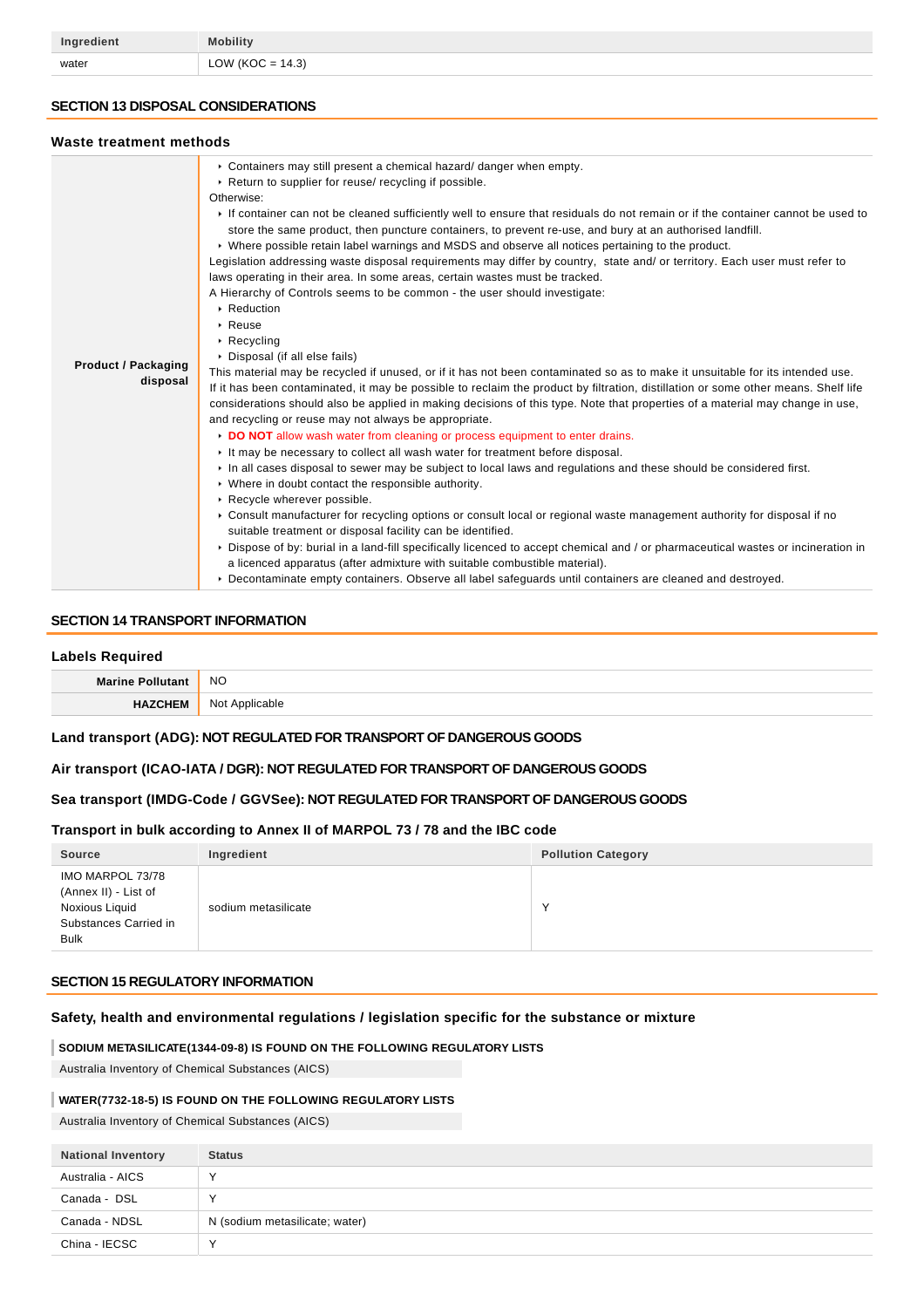| Ingredient | <b>Mobility</b>     |
|------------|---------------------|
| water      | LOW (KOC = $14.3$ ) |

### **SECTION 13 DISPOSAL CONSIDERATIONS**

### **Waste treatment methods**

| Masic Heathleth Methods                |                                                                                                                                                                                                                                                                                                                                                                                                                                                                                                                                                                                                                                                                                                                                                                                                                                                                                                                                                                                                                                                                                                                                                                                                                                                                                                                                                                                                                                                                                                                                                                                                                                                                                                                                                                                                                                                                                                                                                                                                                                                                                                                                                                                                                                                               |
|----------------------------------------|---------------------------------------------------------------------------------------------------------------------------------------------------------------------------------------------------------------------------------------------------------------------------------------------------------------------------------------------------------------------------------------------------------------------------------------------------------------------------------------------------------------------------------------------------------------------------------------------------------------------------------------------------------------------------------------------------------------------------------------------------------------------------------------------------------------------------------------------------------------------------------------------------------------------------------------------------------------------------------------------------------------------------------------------------------------------------------------------------------------------------------------------------------------------------------------------------------------------------------------------------------------------------------------------------------------------------------------------------------------------------------------------------------------------------------------------------------------------------------------------------------------------------------------------------------------------------------------------------------------------------------------------------------------------------------------------------------------------------------------------------------------------------------------------------------------------------------------------------------------------------------------------------------------------------------------------------------------------------------------------------------------------------------------------------------------------------------------------------------------------------------------------------------------------------------------------------------------------------------------------------------------|
| <b>Product / Packaging</b><br>disposal | • Containers may still present a chemical hazard/ danger when empty.<br>▶ Return to supplier for reuse/ recycling if possible.<br>Otherwise:<br>If container can not be cleaned sufficiently well to ensure that residuals do not remain or if the container cannot be used to<br>store the same product, then puncture containers, to prevent re-use, and bury at an authorised landfill.<br>► Where possible retain label warnings and MSDS and observe all notices pertaining to the product.<br>Legislation addressing waste disposal requirements may differ by country, state and/ or territory. Each user must refer to<br>laws operating in their area. In some areas, certain wastes must be tracked.<br>A Hierarchy of Controls seems to be common - the user should investigate:<br>▶ Reduction<br>$\triangleright$ Reuse<br>$\cdot$ Recycling<br>Disposal (if all else fails)<br>This material may be recycled if unused, or if it has not been contaminated so as to make it unsuitable for its intended use.<br>If it has been contaminated, it may be possible to reclaim the product by filtration, distillation or some other means. Shelf life<br>considerations should also be applied in making decisions of this type. Note that properties of a material may change in use,<br>and recycling or reuse may not always be appropriate.<br>DO NOT allow wash water from cleaning or process equipment to enter drains.<br>It may be necessary to collect all wash water for treatment before disposal.<br>In all cases disposal to sewer may be subject to local laws and regulations and these should be considered first.<br>• Where in doubt contact the responsible authority.<br>Recycle wherever possible.<br>► Consult manufacturer for recycling options or consult local or regional waste management authority for disposal if no<br>suitable treatment or disposal facility can be identified.<br>▶ Dispose of by: burial in a land-fill specifically licenced to accept chemical and / or pharmaceutical wastes or incineration in<br>a licenced apparatus (after admixture with suitable combustible material).<br>▶ Decontaminate empty containers. Observe all label safeguards until containers are cleaned and destroyed. |

### **SECTION 14 TRANSPORT INFORMATION**

#### **Labels Required**

| <b>BA</b> | <b>NO</b> |
|-----------|-----------|
|           | Nr<br>.   |

### **Land transport (ADG): NOT REGULATED FOR TRANSPORT OF DANGEROUS GOODS**

### **Air transport (ICAO-IATA / DGR): NOT REGULATED FOR TRANSPORT OF DANGEROUS GOODS**

### **Sea transport (IMDG-Code / GGVSee): NOT REGULATED FOR TRANSPORT OF DANGEROUS GOODS**

### **Transport in bulk according to Annex II of MARPOL 73 / 78 and the IBC code**

| <b>Source</b>                                                                                      | Ingredient          | <b>Pollution Category</b> |
|----------------------------------------------------------------------------------------------------|---------------------|---------------------------|
| IMO MARPOL 73/78<br>(Annex II) - List of<br>Noxious Liquid<br>Substances Carried in<br><b>Bulk</b> | sodium metasilicate |                           |

#### **SECTION 15 REGULATORY INFORMATION**

### **Safety, health and environmental regulations / legislation specific for the substance or mixture**

### **SODIUM METASILICATE(1344-09-8) IS FOUND ON THE FOLLOWING REGULATORY LISTS**

Australia Inventory of Chemical Substances (AICS)

### **WATER(7732-18-5) IS FOUND ON THE FOLLOWING REGULATORY LISTS**

Australia Inventory of Chemical Substances (AICS)

| <b>National Inventory</b> | <b>Status</b>                  |
|---------------------------|--------------------------------|
| Australia - AICS          | ν                              |
| Canada - DSL              | $\sqrt{}$                      |
| Canada - NDSL             | N (sodium metasilicate; water) |
| China - IECSC             | $\checkmark$                   |